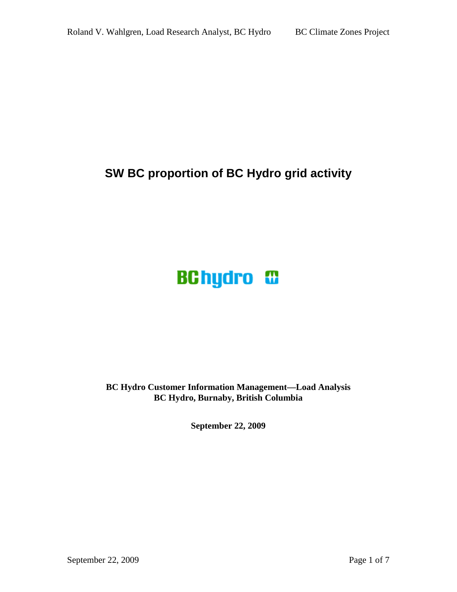# **SW BC proportion of BC Hydro grid activity**

# **BChydro <sup>®</sup>**

**BC Hydro Customer Information Management—Load Analysis BC Hydro, Burnaby, British Columbia** 

**September 22, 2009**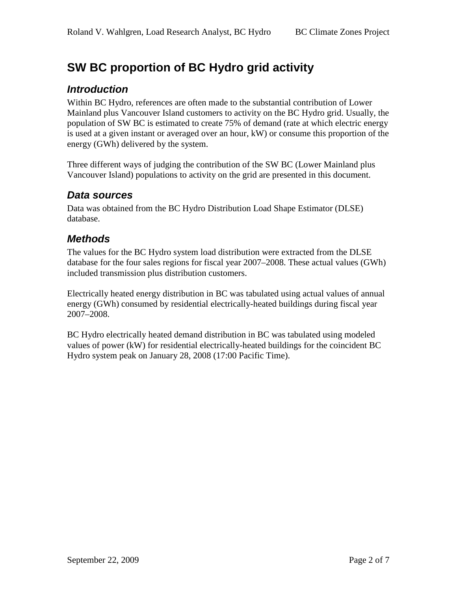# **SW BC proportion of BC Hydro grid activity**

### **Introduction**

Within BC Hydro, references are often made to the substantial contribution of Lower Mainland plus Vancouver Island customers to activity on the BC Hydro grid. Usually, the population of SW BC is estimated to create 75% of demand (rate at which electric energy is used at a given instant or averaged over an hour, kW) or consume this proportion of the energy (GWh) delivered by the system.

Three different ways of judging the contribution of the SW BC (Lower Mainland plus Vancouver Island) populations to activity on the grid are presented in this document.

#### **Data sources**

Data was obtained from the BC Hydro Distribution Load Shape Estimator (DLSE) database.

#### **Methods**

The values for the BC Hydro system load distribution were extracted from the DLSE database for the four sales regions for fiscal year 2007–2008. These actual values (GWh) included transmission plus distribution customers.

Electrically heated energy distribution in BC was tabulated using actual values of annual energy (GWh) consumed by residential electrically-heated buildings during fiscal year 2007–2008.

BC Hydro electrically heated demand distribution in BC was tabulated using modeled values of power (kW) for residential electrically-heated buildings for the coincident BC Hydro system peak on January 28, 2008 (17:00 Pacific Time).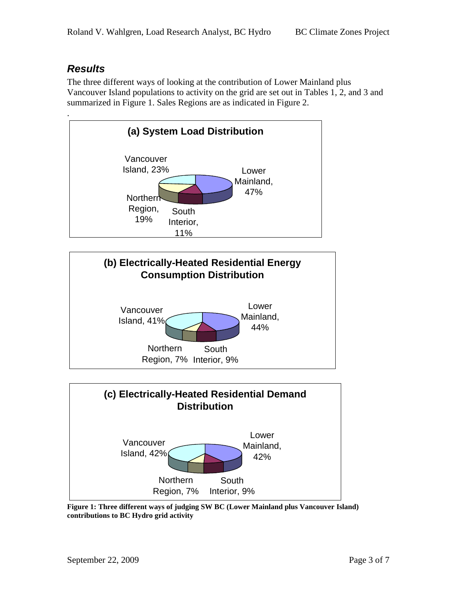## **Results**

The three different ways of looking at the contribution of Lower Mainland plus Vancouver Island populations to activity on the grid are set out in Tables 1, 2, and 3 and summarized in Figure 1. Sales Regions are as indicated in Figure 2.



**Figure 1: Three different ways of judging SW BC (Lower Mainland plus Vancouver Island) contributions to BC Hydro grid activity**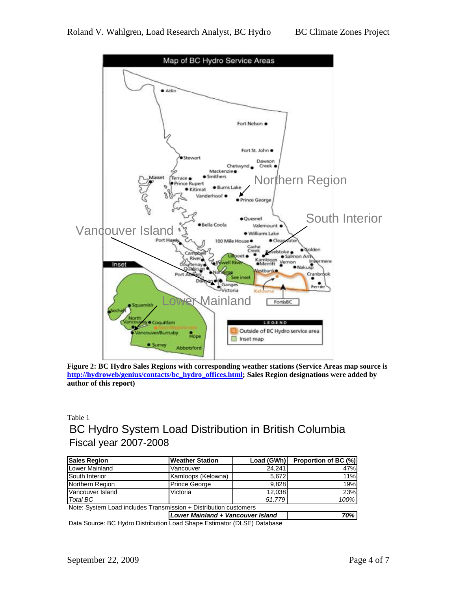

**Figure 2: BC Hydro Sales Regions with corresponding weather stations (Service Areas map source is http://hydroweb/genius/contacts/bc\_hydro\_offices.html; Sales Region designations were added by author of this report)** 

#### Table 1 BC Hydro System Load Distribution in British Columbia Fiscal year 2007-2008

| <b>Sales Region</b>                                              | <b>Weather Station</b> | Load (GWh)                        | Proportion of BC (%) |  |  |  |  |  |  |
|------------------------------------------------------------------|------------------------|-----------------------------------|----------------------|--|--|--|--|--|--|
| Lower Mainland                                                   | Vancouver              | 24.241                            | 47%                  |  |  |  |  |  |  |
| South Interior                                                   | Kamloops (Kelowna)     | 5.672                             | 11%                  |  |  |  |  |  |  |
| Northern Region                                                  | <b>Prince George</b>   | 9.828                             | 19%                  |  |  |  |  |  |  |
| Vancouver Island                                                 | Victoria               | 12.038                            | 23%                  |  |  |  |  |  |  |
| <b>Total BC</b>                                                  |                        | 51,779                            | 100%                 |  |  |  |  |  |  |
| Note: System Load includes Transmission + Distribution customers |                        |                                   |                      |  |  |  |  |  |  |
|                                                                  |                        | Lower Mainland + Vancouver Island |                      |  |  |  |  |  |  |

Data Source: BC Hydro Distribution Load Shape Estimator (DLSE) Database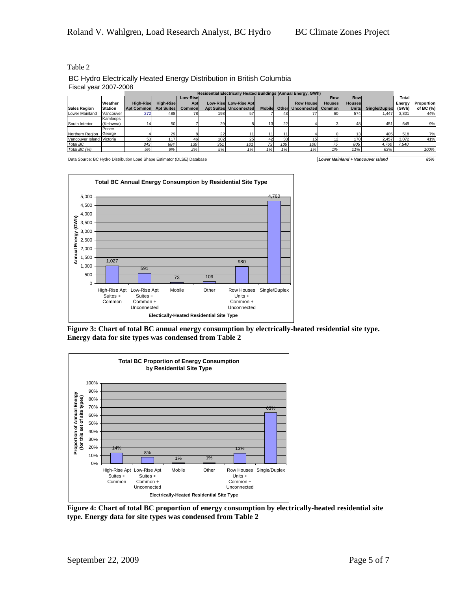Table 2

BC Hydro Electrically Heated Energy Distribution in British Columbia Fiscal year 2007-2008

|                           |                |                       |                  | <b>Residential Electrically Heated Buildings (Annual Energy, GWh)</b> |                   |                       |               |        |                   |         |                 |                      |        |                   |
|---------------------------|----------------|-----------------------|------------------|-----------------------------------------------------------------------|-------------------|-----------------------|---------------|--------|-------------------|---------|-----------------|----------------------|--------|-------------------|
|                           |                |                       |                  | <b>Low-Rise</b>                                                       |                   |                       |               |        |                   | Rowl    | Rowl            |                      | Total  |                   |
|                           | Weather        | High-Rise             | <b>High-Rise</b> | Apt                                                                   |                   | Low-Rise Low-Rise Apt |               |        | <b>Row Housel</b> | Houses  | Houses          |                      | Energy | <b>Proportion</b> |
| <b>Sales Region</b>       | <b>Station</b> | Apt Common Apt Suites |                  | Common                                                                | <b>Apt Suites</b> | <b>Unconnected</b>    | <b>Mobile</b> | Otherl | Unconnected       | Commonl | Units           | <b>Single/Duplex</b> | (GWh)  | of BC (%)         |
| Lower Mainland            | Vancouver      | 272                   | 488              | 78                                                                    | 198               | 57                    |               | 43     |                   | 60      | 574             | 1.447                | 3.301  | 44%               |
|                           | Kamloops       |                       |                  |                                                                       |                   |                       |               |        |                   |         |                 |                      |        |                   |
| South Interior            | (Kelowna)      |                       | 50               |                                                                       | 29                |                       | 131           | 22     |                   |         | 48              | 451                  | 649    | 9%                |
|                           | Prince         |                       |                  |                                                                       |                   |                       |               |        |                   |         |                 |                      |        |                   |
| Northern Region           | George         |                       | 29               |                                                                       | 22                |                       |               | 11     |                   |         | 13 <sub>1</sub> | 405                  | 518    | 7%                |
| Vancouver Island Victoria |                | 53                    | 117              | 46                                                                    | 102               | 25                    | 42            | 33     |                   | 12      | 1701            | 2.457                | 3.072  | 41%               |
| Total BC                  |                | 343                   | 684              | 139                                                                   | 351               | 101                   | 73            | 109    | 100               | 75      | 805             | 4,760                | 7.540  |                   |
| Total BC (%)              |                | 5%                    | 9%               | 2%                                                                    | 5%                | 1%                    | 1%            | 1%     | 1%                | 1%      | 11%             | 63%                  |        | 100%              |

Data Source: BC Hydro Distribution Load Shape Estimator (DLSE) Database **Load Company 1999 Lower Mainland + Vancouver Island 85%** 



**Figure 3: Chart of total BC annual energy consumption by electrically-heated residential site type. Energy data for site types was condensed from Table 2** 



**Figure 4: Chart of total BC proportion of energy consumption by electrically-heated residential site type. Energy data for site types was condensed from Table 2**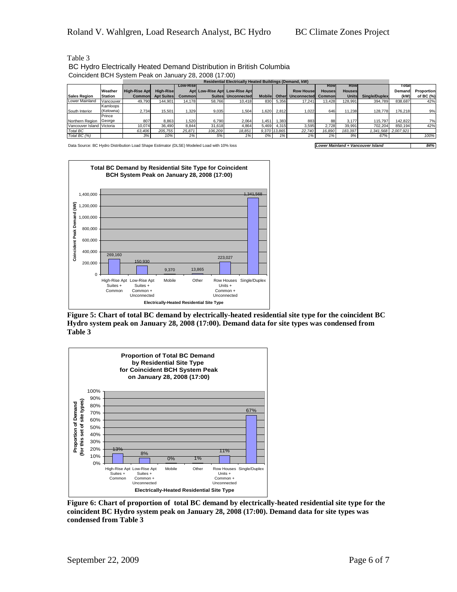| <b>Residential Electrically Heated Buildings (Demand, kW)</b> |                |                      |                   |                  |               |                               |               |              |                    |               |               |               |                     |            |
|---------------------------------------------------------------|----------------|----------------------|-------------------|------------------|---------------|-------------------------------|---------------|--------------|--------------------|---------------|---------------|---------------|---------------------|------------|
|                                                               |                |                      |                   | <b>Low-Risel</b> |               |                               |               |              |                    | Row           | <b>Row</b>    |               | Total               |            |
|                                                               | <b>Weather</b> | <b>High-Rise Apt</b> | <b>High-Risel</b> |                  |               | Apt Low-Rise Apt Low-Rise Apt |               |              | <b>Row House</b>   | <b>Houses</b> | <b>Houses</b> |               | Demand              | Proportion |
| <b>Sales Region</b>                                           | <b>Station</b> | Commonl              | <b>Apt Suites</b> | Commonl          | <b>Suites</b> | Unconnected                   | <b>Mobile</b> | Other        | <b>Unconnected</b> | Commonl       | <b>Units</b>  | Single/Duplex | (kW)                | of BC (%)  |
| Lower Mainland                                                | Vancouver      | 49,790               | 144.901           | 14.178           | 58,766        | 10.418                        | 830           | 5,356        | 17.241             | 13.428        | 128.991       | 394.789       | 838.687             | 42%        |
|                                                               | Kamloops       |                      |                   |                  |               |                               |               |              |                    |               |               |               |                     |            |
| South Interior                                                | (Kelowna)      | 2,734                | 15,501            | .329             | 9,035         | .504                          | .620          | 2,812        | 1.022              | 646           | 11.238        | 128,778       | 176.218             | 9%         |
|                                                               | Prince         |                      |                   |                  |               |                               |               |              |                    |               |               |               |                     |            |
| Northern Region                                               | George         | 807                  | 8.863             | .520             | 6.790         | 2.064                         | .451          | .383         | 883                | 88            | 3.177         | 115.797       | 142.822             | 7%         |
| Vancouver Island Victoria                                     |                | 10.074               | 36.490            | 8,844            | 31,618        | 4,864                         | 5,469         | 4,315        | 3,595              | 2.728         | 39,991        | 702.204       | 850.194             | 42%        |
| Total BC                                                      |                | 63,406               | 205,755           | 25.871           | 106.209       | 18.851                        |               | 9,370 13,865 | 22.740             | 16.890        | 183.397       |               | 1,341,568 2,007,921 |            |
| Total BC (%)                                                  |                | 3%                   | 10%               |                  | 5%            | 1%                            | 0%            | 1%           | 1%                 | 1%            | 9%            | 67%           |                     | 100%       |

Table 3 BC Hydro Electrically Heated Demand Distribution in British Columbia Coincident BCH System Peak on January 28, 2008 (17:00)

Data Source: BC Hydro Distribution Load Shape Estimator (DLSE) Modeled Load with 10% loss **Lower Mainland + Vancouver Island 84%** 



**Figure 5: Chart of total BC demand by electrically-heated residential site type for the coincident BC Hydro system peak on January 28, 2008 (17:00). Demand data for site types was condensed from Table 3** 



**Figure 6: Chart of proportion of total BC demand by electrically-heated residential site type for the coincident BC Hydro system peak on January 28, 2008 (17:00). Demand data for site types was condensed from Table 3** 

September 22, 2009 Page 6 of 7